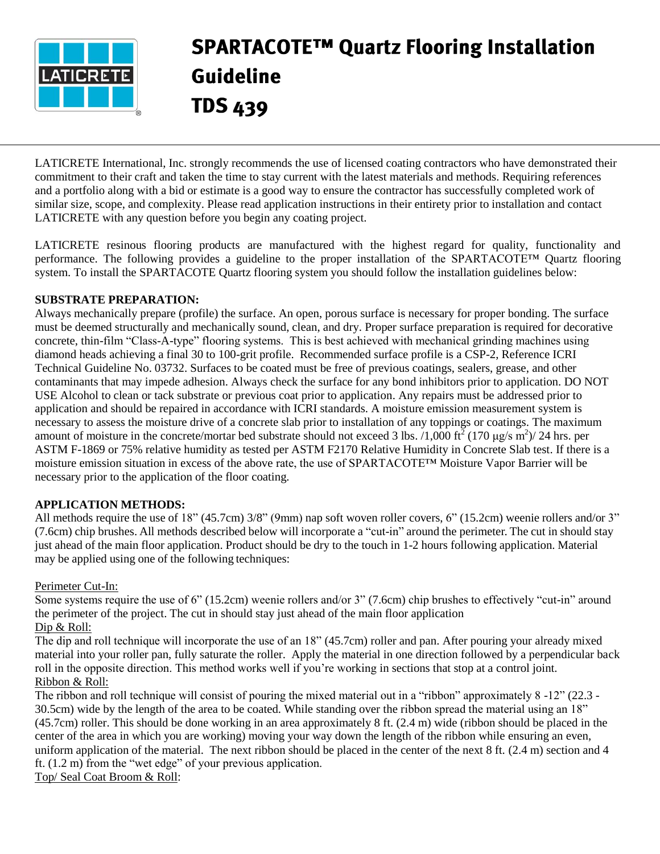

# **SPARTACOTE™ Quartz Flooring Installation Guideline TDS 439**

LATICRETE International, Inc. strongly recommends the use of licensed coating contractors who have demonstrated their commitment to their craft and taken the time to stay current with the latest materials and methods. Requiring references and a portfolio along with a bid or estimate is a good way to ensure the contractor has successfully completed work of similar size, scope, and complexity. Please read application instructions in their entirety prior to installation and contact LATICRETE with any question before you begin any coating project.

LATICRETE resinous flooring products are manufactured with the highest regard for quality, functionality and performance. The following provides a guideline to the proper installation of the SPARTACOTE™ Quartz flooring system. To install the SPARTACOTE Quartz flooring system you should follow the installation guidelines below:

## **SUBSTRATE PREPARATION:**

Always mechanically prepare (profile) the surface. An open, porous surface is necessary for proper bonding. The surface must be deemed structurally and mechanically sound, clean, and dry. Proper surface preparation is required for decorative concrete, thin-film "Class-A-type" flooring systems. This is best achieved with mechanical grinding machines using diamond heads achieving a final 30 to 100-grit profile. Recommended surface profile is a CSP-2, Reference ICRI Technical Guideline No. 03732. Surfaces to be coated must be free of previous coatings, sealers, grease, and other contaminants that may impede adhesion. Always check the surface for any bond inhibitors prior to application. DO NOT USE Alcohol to clean or tack substrate or previous coat prior to application. Any repairs must be addressed prior to application and should be repaired in accordance with ICRI standards. A moisture emission measurement system is necessary to assess the moisture drive of a concrete slab prior to installation of any toppings or coatings. The maximum amount of moisture in the concrete/mortar bed substrate should not exceed 3 lbs. /1,000 ft<sup>2</sup> (170 µg/s m<sup>2</sup>)/ 24 hrs. per ASTM F-1869 or 75% relative humidity as tested per ASTM F2170 Relative Humidity in Concrete Slab test. If there is a moisture emission situation in excess of the above rate, the use of SPARTACOTE™ Moisture Vapor Barrier will be necessary prior to the application of the floor coating.

## **APPLICATION METHODS:**

All methods require the use of 18" (45.7cm) 3/8" (9mm) nap soft woven roller covers, 6" (15.2cm) weenie rollers and/or 3" (7.6cm) chip brushes. All methods described below will incorporate a "cut-in" around the perimeter. The cut in should stay just ahead of the main floor application. Product should be dry to the touch in 1-2 hours following application. Material may be applied using one of the following techniques:

### Perimeter Cut-In:

Some systems require the use of 6" (15.2cm) weenie rollers and/or 3" (7.6cm) chip brushes to effectively "cut-in" around the perimeter of the project. The cut in should stay just ahead of the main floor application Dip & Roll:

The dip and roll technique will incorporate the use of an 18" (45.7cm) roller and pan. After pouring your already mixed material into your roller pan, fully saturate the roller. Apply the material in one direction followed by a perpendicular back roll in the opposite direction. This method works well if you're working in sections that stop at a control joint. Ribbon & Roll:

The ribbon and roll technique will consist of pouring the mixed material out in a "ribbon" approximately 8 -12" (22.3 - 30.5cm) wide by the length of the area to be coated. While standing over the ribbon spread the material using an 18" (45.7cm) roller. This should be done working in an area approximately 8 ft. (2.4 m) wide (ribbon should be placed in the center of the area in which you are working) moving your way down the length of the ribbon while ensuring an even, uniform application of the material. The next ribbon should be placed in the center of the next 8 ft. (2.4 m) section and 4 ft. (1.2 m) from the "wet edge" of your previous application. Top/ Seal Coat Broom & Roll: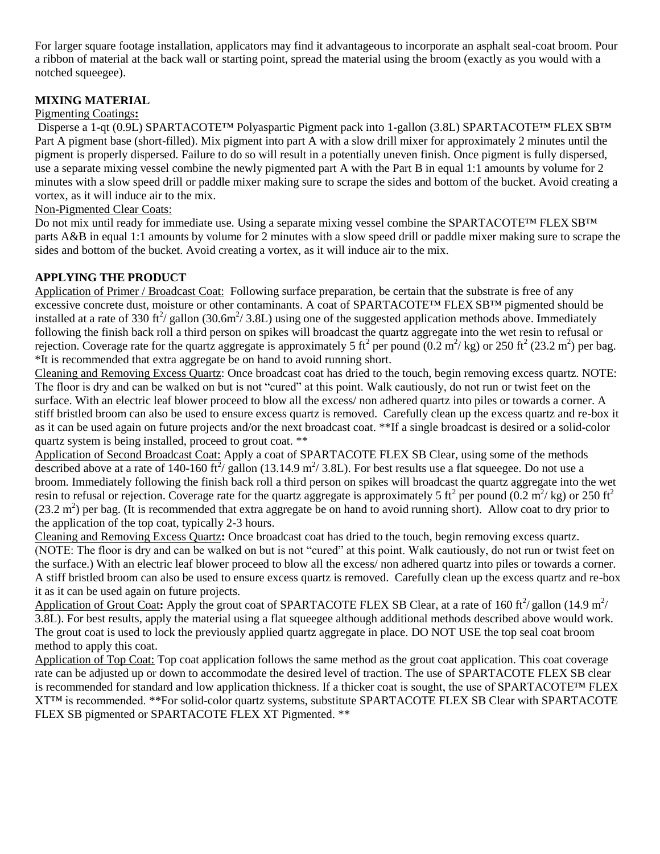For larger square footage installation, applicators may find it advantageous to incorporate an asphalt seal-coat broom. Pour a ribbon of material at the back wall or starting point, spread the material using the broom (exactly as you would with a notched squeegee).

# **MIXING MATERIAL**

## Pigmenting Coatings**:**

Disperse a 1-qt (0.9L) SPARTACOTE™ Polyaspartic Pigment pack into 1-gallon (3.8L) SPARTACOTE™ FLEX SB™ Part A pigment base (short-filled). Mix pigment into part A with a slow drill mixer for approximately 2 minutes until the pigment is properly dispersed. Failure to do so will result in a potentially uneven finish. Once pigment is fully dispersed, use a separate mixing vessel combine the newly pigmented part A with the Part B in equal 1:1 amounts by volume for 2 minutes with a slow speed drill or paddle mixer making sure to scrape the sides and bottom of the bucket. Avoid creating a vortex, as it will induce air to the mix.

## Non-Pigmented Clear Coats:

Do not mix until ready for immediate use. Using a separate mixing vessel combine the SPARTACOTE™ FLEX SB™ parts A&B in equal 1:1 amounts by volume for 2 minutes with a slow speed drill or paddle mixer making sure to scrape the sides and bottom of the bucket. Avoid creating a vortex, as it will induce air to the mix.

## **APPLYING THE PRODUCT**

Application of Primer / Broadcast Coat: Following surface preparation, be certain that the substrate is free of any excessive concrete dust, moisture or other contaminants. A coat of SPARTACOTE™ FLEX SB™ pigmented should be installed at a rate of 330 ft<sup>2</sup>/ gallon (30.6m<sup>2</sup>/ 3.8L) using one of the suggested application methods above. Immediately following the finish back roll a third person on spikes will broadcast the quartz aggregate into the wet resin to refusal or rejection. Coverage rate for the quartz aggregate is approximately 5 ft<sup>2</sup> per pound  $(0.2 \text{ m}^2/\text{kg})$  or 250 ft<sup>2</sup> (23.2 m<sup>2</sup>) per bag. \*It is recommended that extra aggregate be on hand to avoid running short.

Cleaning and Removing Excess Quartz: Once broadcast coat has dried to the touch, begin removing excess quartz. NOTE: The floor is dry and can be walked on but is not "cured" at this point. Walk cautiously, do not run or twist feet on the surface. With an electric leaf blower proceed to blow all the excess/ non adhered quartz into piles or towards a corner. A stiff bristled broom can also be used to ensure excess quartz is removed. Carefully clean up the excess quartz and re-box it as it can be used again on future projects and/or the next broadcast coat. \*\*If a single broadcast is desired or a solid-color quartz system is being installed, proceed to grout coat. \*\*

Application of Second Broadcast Coat: Apply a coat of SPARTACOTE FLEX SB Clear, using some of the methods described above at a rate of 140-160 ft<sup>2</sup>/ gallon (13.14.9 m<sup>2</sup>/ 3.8L). For best results use a flat squeegee. Do not use a broom. Immediately following the finish back roll a third person on spikes will broadcast the quartz aggregate into the wet resin to refusal or rejection. Coverage rate for the quartz aggregate is approximately 5 ft<sup>2</sup> per pound (0.2 m<sup>2</sup>/kg) or 250 ft<sup>2</sup>  $(23.2 \text{ m}^2)$  per bag. (It is recommended that extra aggregate be on hand to avoid running short). Allow coat to dry prior to the application of the top coat, typically 2-3 hours.

Cleaning and Removing Excess Quartz**:** Once broadcast coat has dried to the touch, begin removing excess quartz. (NOTE: The floor is dry and can be walked on but is not "cured" at this point. Walk cautiously, do not run or twist feet on the surface.) With an electric leaf blower proceed to blow all the excess/ non adhered quartz into piles or towards a corner. A stiff bristled broom can also be used to ensure excess quartz is removed. Carefully clean up the excess quartz and re-box it as it can be used again on future projects.

Application of Grout Coat: Apply the grout coat of SPARTACOTE FLEX SB Clear, at a rate of 160 ft<sup>2</sup>/gallon (14.9 m<sup>2</sup>/ 3.8L). For best results, apply the material using a flat squeegee although additional methods described above would work. The grout coat is used to lock the previously applied quartz aggregate in place. DO NOT USE the top seal coat broom method to apply this coat.

Application of Top Coat: Top coat application follows the same method as the grout coat application. This coat coverage rate can be adjusted up or down to accommodate the desired level of traction. The use of SPARTACOTE FLEX SB clear is recommended for standard and low application thickness. If a thicker coat is sought, the use of SPARTACOTE™ FLEX XT™ is recommended. \*\*For solid-color quartz systems, substitute SPARTACOTE FLEX SB Clear with SPARTACOTE FLEX SB pigmented or SPARTACOTE FLEX XT Pigmented. \*\*